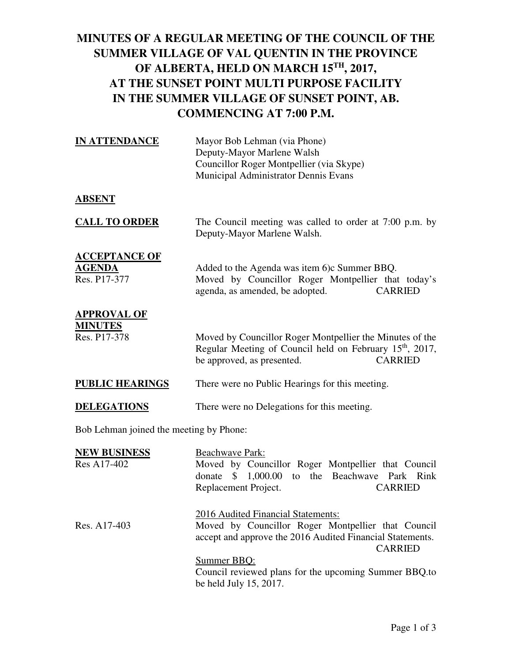### **MINUTES OF A REGULAR MEETING OF THE COUNCIL OF THE SUMMER VILLAGE OF VAL QUENTIN IN THE PROVINCE OF ALBERTA, HELD ON MARCH 15TH, 2017, AT THE SUNSET POINT MULTI PURPOSE FACILITY IN THE SUMMER VILLAGE OF SUNSET POINT, AB. COMMENCING AT 7:00 P.M.**

| <b>IN ATTENDANCE</b>                                  | Mayor Bob Lehman (via Phone)<br>Deputy-Mayor Marlene Walsh<br>Councillor Roger Montpellier (via Skype)<br>Municipal Administrator Dennis Evans                                   |
|-------------------------------------------------------|----------------------------------------------------------------------------------------------------------------------------------------------------------------------------------|
| <b>ABSENT</b>                                         |                                                                                                                                                                                  |
| <b>CALL TO ORDER</b>                                  | The Council meeting was called to order at 7:00 p.m. by<br>Deputy-Mayor Marlene Walsh.                                                                                           |
| <b>ACCEPTANCE OF</b><br><b>AGENDA</b><br>Res. P17-377 | Added to the Agenda was item 6) c Summer BBQ.<br>Moved by Councillor Roger Montpellier that today's<br><b>CARRIED</b><br>agenda, as amended, be adopted.                         |
| <b>APPROVAL OF</b><br><b>MINUTES</b><br>Res. P17-378  | Moved by Councillor Roger Montpellier the Minutes of the<br>Regular Meeting of Council held on February 15 <sup>th</sup> , 2017,<br>be approved, as presented.<br><b>CARRIED</b> |
| <b>PUBLIC HEARINGS</b>                                | There were no Public Hearings for this meeting.                                                                                                                                  |
| <b>DELEGATIONS</b>                                    | There were no Delegations for this meeting.                                                                                                                                      |

Bob Lehman joined the meeting by Phone:

| <b>NEW BUSINESS</b> | Beachwave Park:                                           |
|---------------------|-----------------------------------------------------------|
| Res A17-402         | Moved by Councillor Roger Montpellier that Council        |
|                     | donate \$ 1,000.00 to the Beachwave Park Rink             |
|                     | Replacement Project.<br><b>CARRIED</b>                    |
|                     | 2016 Audited Financial Statements:                        |
| Res. A17-403        | Moved by Councillor Roger Montpellier that Council        |
|                     | accept and approve the 2016 Audited Financial Statements. |
|                     | <b>CARRIED</b>                                            |
|                     | Summer BBQ:                                               |
|                     | Council reviewed plans for the upcoming Summer BBQ.to     |
|                     | be held July 15, 2017.                                    |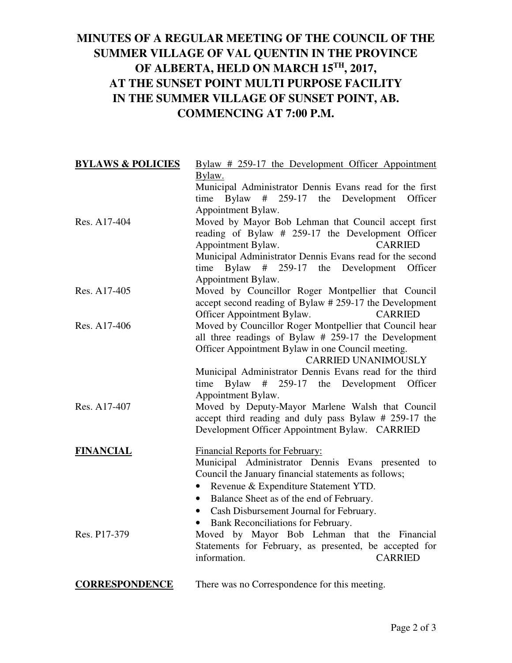### **MINUTES OF A REGULAR MEETING OF THE COUNCIL OF THE SUMMER VILLAGE OF VAL QUENTIN IN THE PROVINCE OF ALBERTA, HELD ON MARCH 15TH, 2017, AT THE SUNSET POINT MULTI PURPOSE FACILITY IN THE SUMMER VILLAGE OF SUNSET POINT, AB. COMMENCING AT 7:00 P.M.**

| <b>BYLAWS &amp; POLICIES</b> | Bylaw # 259-17 the Development Officer Appointment       |
|------------------------------|----------------------------------------------------------|
|                              | Bylaw.                                                   |
|                              | Municipal Administrator Dennis Evans read for the first  |
|                              | time Bylaw<br># 259-17 the Development<br>Officer        |
|                              | Appointment Bylaw.                                       |
| Res. A17-404                 | Moved by Mayor Bob Lehman that Council accept first      |
|                              | reading of Bylaw # 259-17 the Development Officer        |
|                              | Appointment Bylaw.<br><b>CARRIED</b>                     |
|                              | Municipal Administrator Dennis Evans read for the second |
|                              | time Bylaw $\#$ 259-17 the Development<br>Officer        |
|                              | Appointment Bylaw.                                       |
| Res. A17-405                 | Moved by Councillor Roger Montpellier that Council       |
|                              | accept second reading of Bylaw # 259-17 the Development  |
|                              | Officer Appointment Bylaw.<br><b>CARRIED</b>             |
| Res. A17-406                 | Moved by Councillor Roger Montpellier that Council hear  |
|                              | all three readings of Bylaw # 259-17 the Development     |
|                              | Officer Appointment Bylaw in one Council meeting.        |
|                              | <b>CARRIED UNANIMOUSLY</b>                               |
|                              | Municipal Administrator Dennis Evans read for the third  |
|                              | time Bylaw<br>$\#$ 259-17 the Development<br>Officer     |
|                              | Appointment Bylaw.                                       |
| Res. A17-407                 | Moved by Deputy-Mayor Marlene Walsh that Council         |
|                              | accept third reading and duly pass Bylaw # 259-17 the    |
|                              | Development Officer Appointment Bylaw. CARRIED           |
| <b>FINANCIAL</b>             | <b>Financial Reports for February:</b>                   |
|                              | Municipal Administrator Dennis Evans presented to        |
|                              | Council the January financial statements as follows;     |
|                              | Revenue & Expenditure Statement YTD.<br>$\bullet$        |
|                              | Balance Sheet as of the end of February.<br>$\bullet$    |
|                              | Cash Disbursement Journal for February.<br>$\bullet$     |
|                              | Bank Reconciliations for February.                       |
| Res. P17-379                 | Moved by Mayor Bob Lehman that the Financial             |
|                              | Statements for February, as presented, be accepted for   |
|                              | information.<br><b>CARRIED</b>                           |
|                              |                                                          |
| <b>CORRESPONDENCE</b>        | There was no Correspondence for this meeting.            |